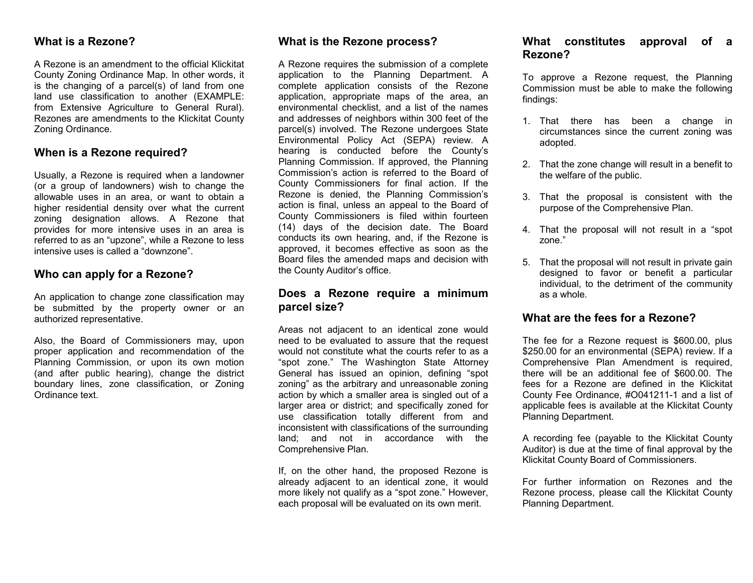### **What is a Rezone?**

A Rezone is an amendment to the official Klickitat County Zoning Ordinance Map. In other words, it is the changing of a parcel(s) of land from one land use classification to another (EXAMPLE: from Extensive Agriculture to General Rural). Rezones are amendments to the Klickitat County Zoning Ordinance.

# **When is a Rezone required?**

Usually, a Rezone is required when a landowner (or a group of landowners) wish to change the allowable uses in an area, or want to obtain a higher residential density over what the current zoning designation allows. A Rezone that provides for more intensive uses in an area is referred to as an "upzone", while a Rezone to less intensive uses is called a "downzone".

## **Who can apply for a Rezone?**

An application to change zone classification may be submitted by the property owner or an authorized representative.

Also, the Board of Commissioners may, upon proper application and recommendation of the Planning Commission, or upon its own motion (and after public hearing), change the district boundary lines, zone classification, or Zoning Ordinance text.

# **What is the Rezone process?**

A Rezone requires the submission of a complete application to the Planning Department. A complete application consists of the Rezone application, appropriate maps of the area, an environmental checklist, and a list of the names and addresses of neighbors within 300 feet of the parcel(s) involved. The Rezone undergoes State Environmental Policy Act (SEPA) review. A hearing is conducted before the County's Planning Commission. If approved, the Planning Commission's action is referred to the Board of County Commissioners for final action. If the Rezone is denied, the Planning Commission's action is final, unless an appeal to the Board of County Commissioners is filed within fourteen (14) days of the decision date. The Board conducts its own hearing, and, if the Rezone is approved, it becomes effective as soon as the Board files the amended maps and decision with the County Auditor's office.

## **Does a Rezone require a minimum parcel size?**

Areas not adjacent to an identical zone would need to be evaluated to assure that the request would not constitute what the courts refer to as a "spot zone." The Washington State Attorney General has issued an opinion, defining "spot zoning" as the arbitrary and unreasonable zoning action by which a smaller area is singled out of a larger area or district; and specifically zoned for use classification totally different from and inconsistent with classifications of the surrounding land; and not in accordance with the Comprehensive Plan.

If, on the other hand, the proposed Rezone is already adjacent to an identical zone, it would more likely not qualify as a "spot zone." However, each proposal will be evaluated on its own merit.

# **What constitutes approval of a Rezone?**

To approve a Rezone request, the Planning Commission must be able to make the following findings:

- 1. That there has been a change in circumstances since the current zoning was adopted.
- 2. That the zone change will result in a benefit to the welfare of the public.
- 3. That the proposal is consistent with the purpose of the Comprehensive Plan.
- 4. That the proposal will not result in a "spot zone."
- 5. That the proposal will not result in private gain designed to favor or benefit a particular individual, to the detriment of the community as a whole.

## **What are the fees for a Rezone?**

The fee for a Rezone request is \$600.00, plus \$250.00 for an environmental (SEPA) review. If a Comprehensive Plan Amendment is required, there will be an additional fee of \$600.00. The fees for a Rezone are defined in the Klickitat County Fee Ordinance, #O041211-1 and a list of applicable fees is available at the Klickitat County Planning Department.

A recording fee (payable to the Klickitat County Auditor) is due at the time of final approval by the Klickitat County Board of Commissioners.

For further information on Rezones and the Rezone process, please call the Klickitat County Planning Department.